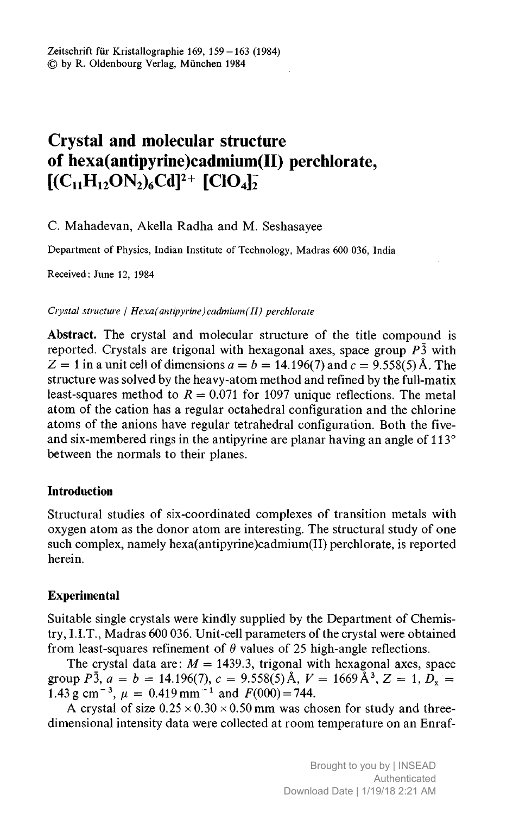# Crystal and molecular structure of hexa(antipyrine)cadmium $(II)$  perchlorate,  $[(C_{11}H_{12}ON_2)_6Cd]^2$ <sup>+</sup>  $[ClO_4]$ <sup>-</sup>

C. Mahadevan, Akella Radha and M. Seshasayee

Department of Physics, Indian Institute of Technology, Madras <sup>600</sup> 036, India

Received: June 12, 1984

Crystal structure |  $Hexa(antipyrine)cadmium(II) perchlorate$ 

Abstract. The crystal and molecular structure of the title compound is reported. Crystals are trigonal with hexagonal axes, space group  $P<sub>3</sub>$  with  $= 1$  in a unit cell of dimensions  $a = b = 14.196(7)$  and  $c = 9.558(5)$  Å. The structure was solved by the heavy-atom method and refined by the full-matix least-squares method to  $R = 0.071$  for 1097 unique reflections. The metal atom of the cation has <sup>a</sup> regular octahedral configuration and the chlorine atoms of the anions have regular tetrahedral configuration. Both the fiveand six-membered rings in the antipyrine are planar having an angle of 113° between the normals to their planes.

## Introduction

Structural studies of six-coordinated complexes of transition metals with oxygen atom as the donor atom are interesting. The structural study of one such complex, namely hexa(antipyrine)cadmium(II) perchlorate, is reported herein.

## Experimental

Suitable single crystals were kindly supplied by the Department of Chemistry, 1.1.T., Madras <sup>600</sup> 036. Unit-cell parameters of the crystal were obtained from least-squares refinement of  $\theta$  values of 25 high-angle reflections.

The crystal data are:  $M = 1439.3$ , trigonal with hexagonal axes, space group  $P\bar{3}$ ,  $a = b = 14.196(7)$ ,  $c = 9.558(5)$  Å,  $V = 1669$  Å $^3$ ,  $Z = 1$ ,  $D_x =$ 1.43 g cm<sup>-3</sup>,  $\mu = 0.419$  mm<sup>-1</sup> and  $F(000) = 744$ .

A crystal of size  $0.25 \times 0.30 \times 0.50$  mm was chosen for study and threedimensional intensity data were collected at room temperature on an Enraf-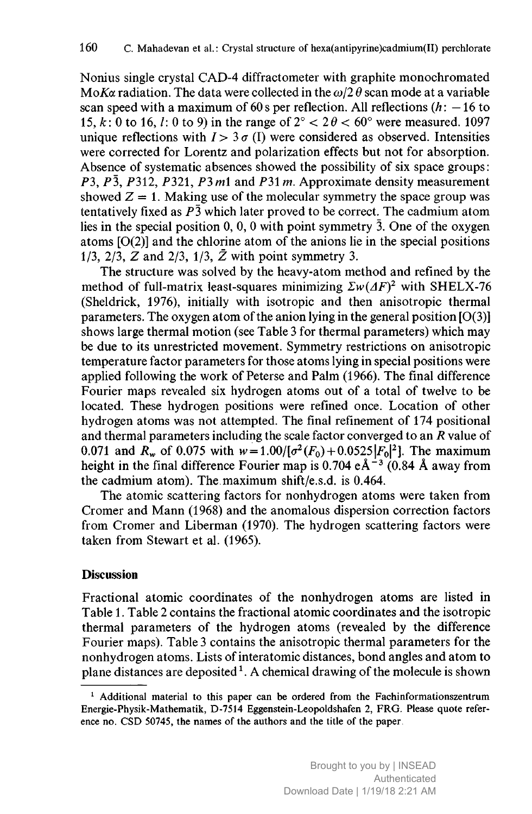Nonius single crystal CAD-4 diffractometer with graphite monochromated MoKa radiation. The data were collected in the  $\omega/2 \theta$  scan mode at a variable scan speed with a maximum of 60 s per reflection. All reflections  $(h: -16$  to 15, k: 0 to 16, l: 0 to 9) in the range of  $2^{\circ} < 2\theta < 60^{\circ}$  were measured. 1097 unique reflections with  $I > 3\sigma$  (I) were considered as observed. Intensities were corrected for Lorentz and polarization effects but not for absorption. Absence of systematic absences showed the possibility of six space groups: P3,  $P\bar{3}$ , P312, P321, P3 m1 and P31 m. Approximate density measurement showed  $Z = 1$ . Making use of the molecular symmetry the space group was tentatively fixed as  $P\overline{3}$  which later proved to be correct. The cadmium atom lies in the special position 0, 0, <sup>0</sup> with point symmetry 3. One of the oxygen atoms  $[O(2)]$  and the chlorine atom of the anions lie in the special positions 1/3, 2/3,  $\overline{Z}$  and 2/3, 1/3,  $\overline{Z}$  with point symmetry 3.

The structure was solved by the heavy-atom method and refined by the method of full-matrix least-squares minimizing  $\sum w(\Delta F)^2$  with SHELX-76 (Sheldrick, 1976), initially with isotropic and then anisotropic thermal parameters. The oxygen atom of the anion lying in the general position  $[O(3)]$ shows large thermal motion (see Table <sup>3</sup> for thermal parameters) which may be due to its unrestricted movement. Symmetry restrictions on anisotropic temperature factor parameters for those atoms lying in special positions were applied following the work of Peterse and Palm (1966). The final difference Fourier maps revealed six hydrogen atoms out of <sup>a</sup> total of twelve to be located. These hydrogen positions were refined once. Location of other hydrogen atoms was not attempted. The final refinement of <sup>174</sup> positional and thermal parameters including the scale factor converged to an R value of 0.071 and  $R_w$  of 0.075 with  $w = 1.00/[\sigma^2(F_0) + 0.0525|F_0|^2]$ . The maximum height in the final difference Fourier map is 0.704  $e \text{\AA}^{-3}$  (0.84 Å away from the cadmium atom). The maximum shift/e.s.d. is 0.464.

The atomic scattering factors for nonhydrogen atoms were taken from Cromer and Mann (1968) and the anomalous dispersion correction factors from Cromer and Liberman (1970). The hydrogen scattering factors were taken from Stewart et al. (1965).

## **Discussion**

Fractional atomic coordinates of the nonhydrogen atoms are listed in Table 1. Table <sup>2</sup> contains the fractional atomic coordinates and the isotropic thermal parameters of the hydrogen atoms (revealed by the difference Fourier maps). Table <sup>3</sup> contains the anisotropic thermal parameters for the nonhydrogen atoms. Lists of interatomic distances, bond angles and atom to plane distances are deposited<sup>1</sup>. A chemical drawing of the molecule is shown

 $<sup>1</sup>$  Additional material to this paper can be ordered from the Fachinformationszentrum</sup> Energie-Physik-Mathematik, D-7514 Eggenstein-Leopoldshafen 2, FRG. Please quote reference no. CSD 50745, the names of the authors and the title of the paper.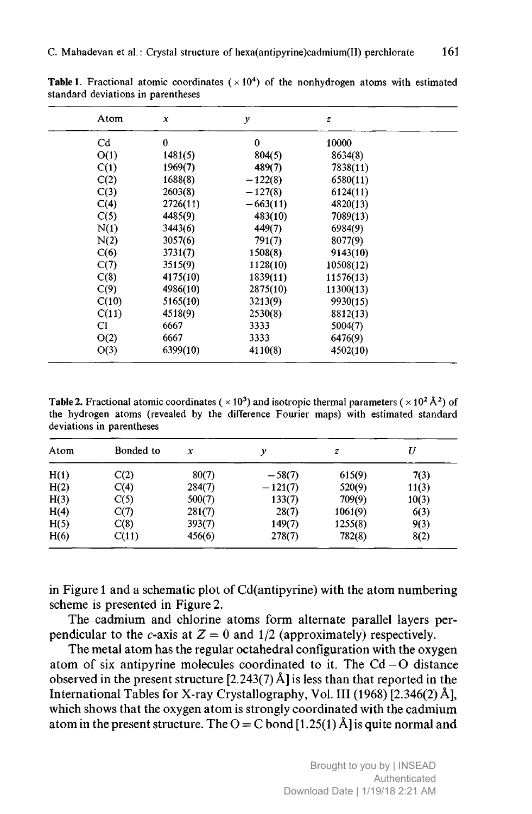| Atom        | x        | у          | $\overline{z}$ |  |
|-------------|----------|------------|----------------|--|
| $_{\rm Cd}$ | 0        | 0          | 10000          |  |
| O(1)        | 1481(5)  | 804(5)     | 8634(8)        |  |
| C(1)        | 1969(7)  | 489(7)     | 7838(11)       |  |
| C(2)        | 1688(8)  | $-122(8)$  | 6580(11)       |  |
| C(3)        | 2603(8)  | $-127(8)$  | 6124(11)       |  |
| C(4)        | 2726(11) | $-663(11)$ | 4820(13)       |  |
| C(5)        | 4485(9)  | 483(10)    | 7089(13)       |  |
| N(1)        | 3443(6)  | 449(7)     | 6984(9)        |  |
| N(2)        | 3057(6)  | 791(7)     | 8077(9)        |  |
| C(6)        | 3731(7)  | 1508(8)    | 9143(10)       |  |
| C(7)        | 3515(9)  | 1128(10)   | 10508(12)      |  |
| C(8)        | 4175(10) | 1839(11)   | 11576(13)      |  |
| C(9)        | 4986(10) | 2875(10)   | 11300(13)      |  |
| C(10)       | 5165(10) | 3213(9)    | 9930(15)       |  |
| C(11)       | 4518(9)  | 2530(8)    | 8812(13)       |  |
| CI          | 6667     | 3333       | 5004(7)        |  |
| O(2)        | 6667     | 3333       | 6476(9)        |  |
| O(3)        | 6399(10) | 4110(8)    | 4502(10)       |  |

**Table 1**. Fractional atomic coordinates  $(\times 10^4)$  of the nonhydrogen atoms with estimated standard deviations in parentheses

**Table 2.** Fractional atomic coordinates ( $\times$  10<sup>3</sup>) and isotropic thermal parameters ( $\times$  10<sup>2</sup>Å<sup>2</sup>) of the hydrogen atoms (revealed by the difference Fourier maps) with estimated standard deviations in parentheses

| Atom | Bonded to | x      | ν         | z       |       |
|------|-----------|--------|-----------|---------|-------|
| H(1) | C(2)      | 80(7)  | $-58(7)$  | 615(9)  | 7(3)  |
| H(2) | C(4)      | 284(7) | $-121(7)$ | 520(9)  | 11(3) |
| H(3) | C(5)      | 500(7) | 133(7)    | 709(9)  | 10(3) |
| H(4) | C(7)      | 281(7) | 28(7)     | 1061(9) | 6(3)  |
| H(5) | C(8)      | 393(7) | 149(7)    | 1255(8) | 9(3)  |
| H(6) | C(11)     | 456(6) | 278(7)    | 782(8)  | 8(2)  |

in Figure <sup>1</sup> and <sup>a</sup> schematic plot of Cd(antipyrine) with the atom numbering scheme is presented in Figure 2.

The cadmium and chlorine atoms form alternate parallel layers perpendicular to the c-axis at  $Z = 0$  and 1/2 (approximately) respectively.

The metal atom has the regular octahedral configuration with the oxygen atom of six antipyrine molecules coordinated to it. The  $Cd - O$  distance observed in the present structure [2.243(7) Â] is less than that reported in the International Tables for X-ray Crystallography, Vol. Ill (1968) [2.346(2) Â], which shows that the oxygen atom is strongly coordinated with the cadmium atom in the present structure. The  $O = C$  bond [1.25(1) Å] is quite normal and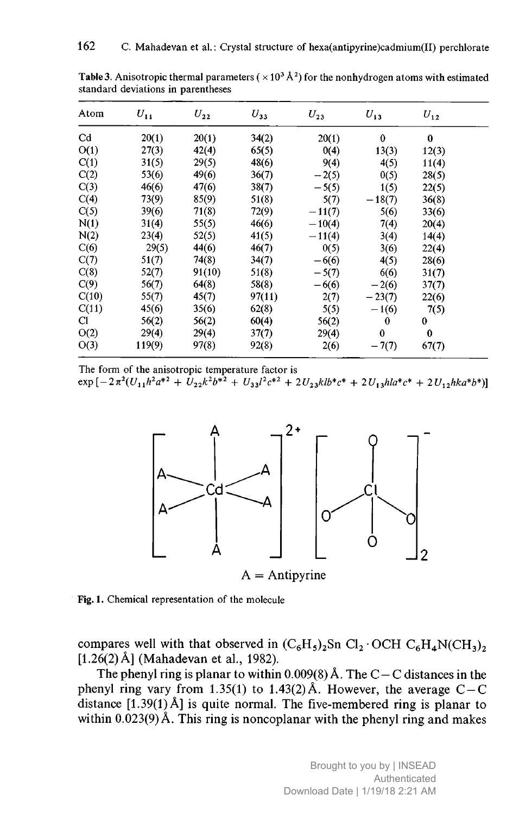| Atom        | $U_{11}$ | $U_{22}$ | $U_{33}$ | $U_{23}$ | $U_{13}$ | $U_{12}$ |
|-------------|----------|----------|----------|----------|----------|----------|
| $_{\rm Cd}$ | 20(1)    | 20(1)    | 34(2)    | 20(1)    | $\bf{0}$ | $\bf{0}$ |
| O(1)        | 27(3)    | 42(4)    | 65(5)    | 0(4)     | 13(3)    | 12(3)    |
| C(1)        | 31(5)    | 29(5)    | 48(6)    | 9(4)     | 4(5)     | 11(4)    |
| C(2)        | 53(6)    | 49(6)    | 36(7)    | $-2(5)$  | 0(5)     | 28(5)    |
| C(3)        | 46(6)    | 47(6)    | 38(7)    | $-5(5)$  | 1(5)     | 22(5)    |
| C(4)        | 73(9)    | 85(9)    | 51(8)    | 5(7)     | $-18(7)$ | 36(8)    |
| C(5)        | 39(6)    | 71(8)    | 72(9)    | $-11(7)$ | 5(6)     | 33(6)    |
| N(1)        | 31(4)    | 55(5)    | 46(6)    | $-10(4)$ | 7(4)     | 20(4)    |
| N(2)        | 23(4)    | 52(5)    | 41(5)    | $-11(4)$ | 3(4)     | 14(4)    |
| C(6)        | 29(5)    | 44(6)    | 46(7)    | 0(5)     | 3(6)     | 22(4)    |
| C(7)        | 51(7)    | 74(8)    | 34(7)    | $-6(6)$  | 4(5)     | 28(6)    |
| C(8)        | 52(7)    | 91(10)   | 51(8)    | $-5(7)$  | 6(6)     | 31(7)    |
| C(9)        | 56(7)    | 64(8)    | 58(8)    | $-6(6)$  | $-2(6)$  | 37(7)    |
| C(10)       | 55(7)    | 45(7)    | 97(11)   | 2(7)     | $-23(7)$ | 22(6)    |
| C(11)       | 45(6)    | 35(6)    | 62(8)    | 5(5)     | $-1(6)$  | 7(5)     |
| CI          | 56(2)    | 56(2)    | 60(4)    | 56(2)    | 0        | $\bf{0}$ |
| O(2)        | 29(4)    | 29(4)    | 37(7)    | 29(4)    | $\bf{0}$ | $\bf{0}$ |
| O(3)        | 119(9)   | 97(8)    | 92(8)    | 2(6)     | $-7(7)$  | 67(7)    |

**Table 3.** Anisotropic thermal parameters ( $\times$  10<sup>3</sup> Å<sup>2</sup>) for the nonhydrogen atoms with estimated standard deviations in parentheses

The form of the anisotropic temperature factor is  $\exp\left[-2\pi^2(U_{11}h^2a^{*2}+U_{22}k^2b^{*2}+U_{33}l^2c^{*2}+2U_{23}klb^{*}c^{*}+2U_{13}hla^{*}c^{*}+2U_{12}hka^{*}b^{*})\right]$ 



Fig. 1. Chemical representation of the molecule

compares well with that observed in  $(C_6H_5)_2$ Sn  $Cl_2 \cdot OCH C_6H_4N(CH_3)_2$ [1.26(2) Å] (Mahadevan et al., 1982).

The phenyl ring is planar to within  $0.009(8)$  Å. The C – C distances in the phenyl ring vary from 1.35(1) to 1.43(2) Å. However, the average  $C-C$ distance  $[1.39(1)$  Å] is quite normal. The five-membered ring is planar to within  $0.023(9)$  Å. This ring is noncoplanar with the phenyl ring and makes